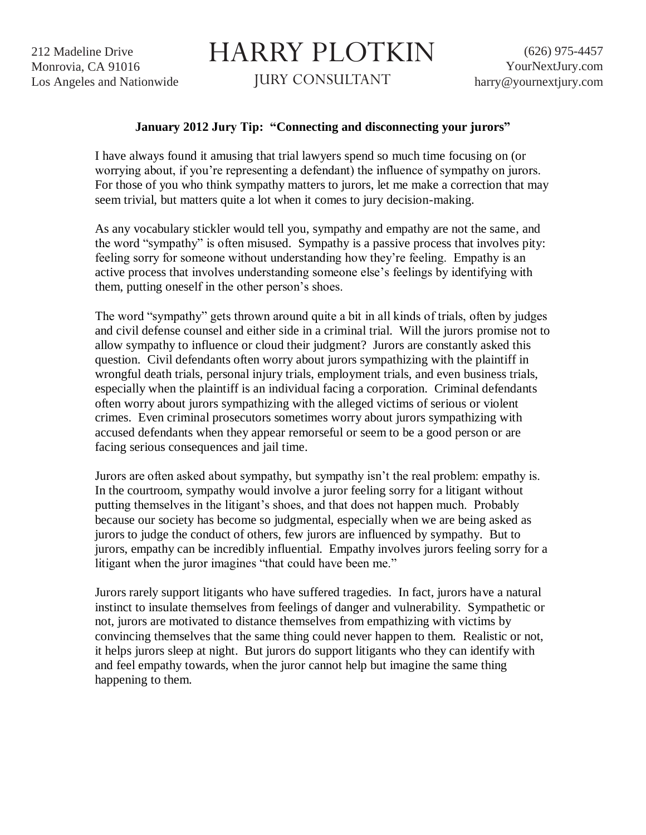212 Madeline Drive Monrovia, CA 91016 Los Angeles and Nationwide

## HARRY PLOTKIN

JURY CONSULTANT

## **January 2012 Jury Tip: "Connecting and disconnecting your jurors"**

I have always found it amusing that trial lawyers spend so much time focusing on (or worrying about, if you're representing a defendant) the influence of sympathy on jurors. For those of you who think sympathy matters to jurors, let me make a correction that may seem trivial, but matters quite a lot when it comes to jury decision-making.

As any vocabulary stickler would tell you, sympathy and empathy are not the same, and the word "sympathy" is often misused. Sympathy is a passive process that involves pity: feeling sorry for someone without understanding how they're feeling. Empathy is an active process that involves understanding someone else's feelings by identifying with them, putting oneself in the other person's shoes.

The word "sympathy" gets thrown around quite a bit in all kinds of trials, often by judges and civil defense counsel and either side in a criminal trial. Will the jurors promise not to allow sympathy to influence or cloud their judgment? Jurors are constantly asked this question. Civil defendants often worry about jurors sympathizing with the plaintiff in wrongful death trials, personal injury trials, employment trials, and even business trials, especially when the plaintiff is an individual facing a corporation. Criminal defendants often worry about jurors sympathizing with the alleged victims of serious or violent crimes. Even criminal prosecutors sometimes worry about jurors sympathizing with accused defendants when they appear remorseful or seem to be a good person or are facing serious consequences and jail time.

Jurors are often asked about sympathy, but sympathy isn't the real problem: empathy is. In the courtroom, sympathy would involve a juror feeling sorry for a litigant without putting themselves in the litigant's shoes, and that does not happen much. Probably because our society has become so judgmental, especially when we are being asked as jurors to judge the conduct of others, few jurors are influenced by sympathy. But to jurors, empathy can be incredibly influential. Empathy involves jurors feeling sorry for a litigant when the juror imagines "that could have been me."

Jurors rarely support litigants who have suffered tragedies. In fact, jurors have a natural instinct to insulate themselves from feelings of danger and vulnerability. Sympathetic or not, jurors are motivated to distance themselves from empathizing with victims by convincing themselves that the same thing could never happen to them. Realistic or not, it helps jurors sleep at night. But jurors do support litigants who they can identify with and feel empathy towards, when the juror cannot help but imagine the same thing happening to them.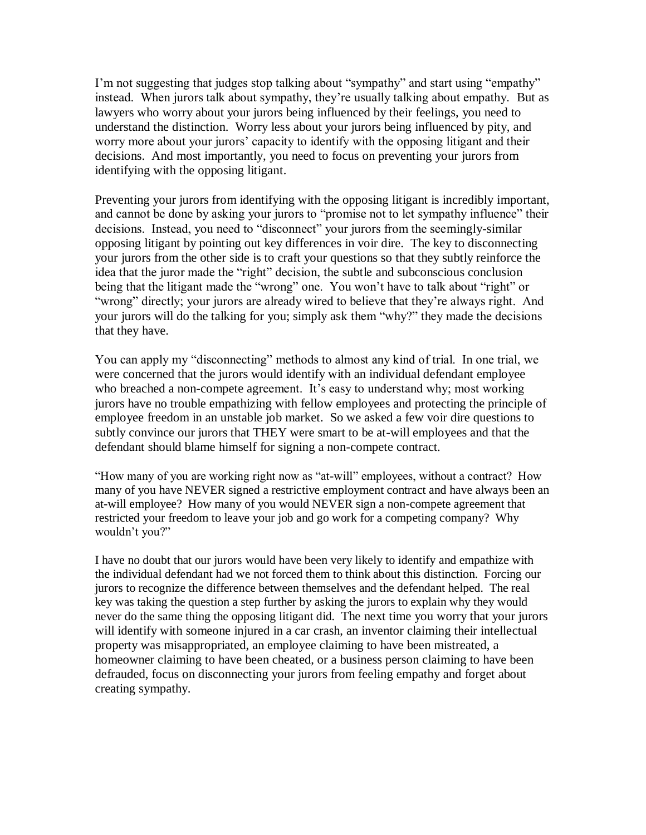I'm not suggesting that judges stop talking about "sympathy" and start using "empathy" instead. When jurors talk about sympathy, they're usually talking about empathy. But as lawyers who worry about your jurors being influenced by their feelings, you need to understand the distinction. Worry less about your jurors being influenced by pity, and worry more about your jurors' capacity to identify with the opposing litigant and their decisions. And most importantly, you need to focus on preventing your jurors from identifying with the opposing litigant.

Preventing your jurors from identifying with the opposing litigant is incredibly important, and cannot be done by asking your jurors to "promise not to let sympathy influence" their decisions. Instead, you need to "disconnect" your jurors from the seemingly-similar opposing litigant by pointing out key differences in voir dire. The key to disconnecting your jurors from the other side is to craft your questions so that they subtly reinforce the idea that the juror made the "right" decision, the subtle and subconscious conclusion being that the litigant made the "wrong" one. You won't have to talk about "right" or "wrong" directly; your jurors are already wired to believe that they're always right. And your jurors will do the talking for you; simply ask them "why?" they made the decisions that they have.

You can apply my "disconnecting" methods to almost any kind of trial. In one trial, we were concerned that the jurors would identify with an individual defendant employee who breached a non-compete agreement. It's easy to understand why; most working jurors have no trouble empathizing with fellow employees and protecting the principle of employee freedom in an unstable job market. So we asked a few voir dire questions to subtly convince our jurors that THEY were smart to be at-will employees and that the defendant should blame himself for signing a non-compete contract.

"How many of you are working right now as "at-will" employees, without a contract? How many of you have NEVER signed a restrictive employment contract and have always been an at-will employee? How many of you would NEVER sign a non-compete agreement that restricted your freedom to leave your job and go work for a competing company? Why wouldn't you?"

I have no doubt that our jurors would have been very likely to identify and empathize with the individual defendant had we not forced them to think about this distinction. Forcing our jurors to recognize the difference between themselves and the defendant helped. The real key was taking the question a step further by asking the jurors to explain why they would never do the same thing the opposing litigant did. The next time you worry that your jurors will identify with someone injured in a car crash, an inventor claiming their intellectual property was misappropriated, an employee claiming to have been mistreated, a homeowner claiming to have been cheated, or a business person claiming to have been defrauded, focus on disconnecting your jurors from feeling empathy and forget about creating sympathy.